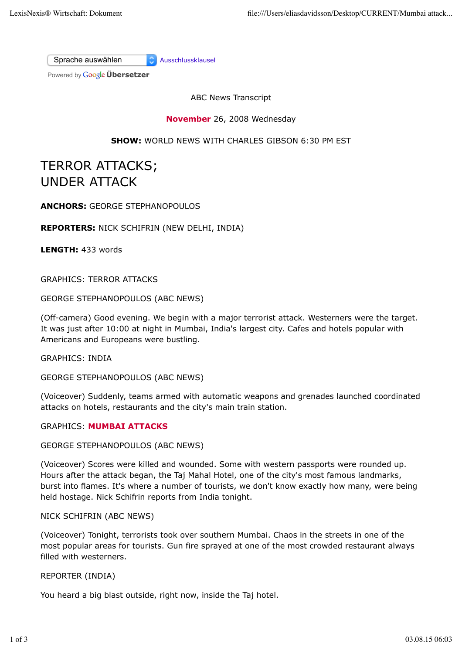Sprache auswählen Ausschlussklausel

Powered by **Google Übersetzer** 

ABC News Transcript

**November** 26, 2008 Wednesday

**SHOW:** WORLD NEWS WITH CHARLES GIBSON 6:30 PM EST

# TERROR ATTACKS; UNDER ATTACK

**ANCHORS:** GEORGE STEPHANOPOULOS

**REPORTERS:** NICK SCHIFRIN (NEW DELHI, INDIA)

**LENGTH:** 433 words

GRAPHICS: TERROR ATTACKS

GEORGE STEPHANOPOULOS (ABC NEWS)

(Off-camera) Good evening. We begin with a major terrorist attack. Westerners were the target. It was just after 10:00 at night in Mumbai, India's largest city. Cafes and hotels popular with Americans and Europeans were bustling.

GRAPHICS: INDIA

GEORGE STEPHANOPOULOS (ABC NEWS)

(Voiceover) Suddenly, teams armed with automatic weapons and grenades launched coordinated attacks on hotels, restaurants and the city's main train station.

#### GRAPHICS: **MUMBAI ATTACKS**

GEORGE STEPHANOPOULOS (ABC NEWS)

(Voiceover) Scores were killed and wounded. Some with western passports were rounded up. Hours after the attack began, the Taj Mahal Hotel, one of the city's most famous landmarks, burst into flames. It's where a number of tourists, we don't know exactly how many, were being held hostage. Nick Schifrin reports from India tonight.

#### NICK SCHIFRIN (ABC NEWS)

(Voiceover) Tonight, terrorists took over southern Mumbai. Chaos in the streets in one of the most popular areas for tourists. Gun fire sprayed at one of the most crowded restaurant always filled with westerners.

#### REPORTER (INDIA)

You heard a big blast outside, right now, inside the Taj hotel.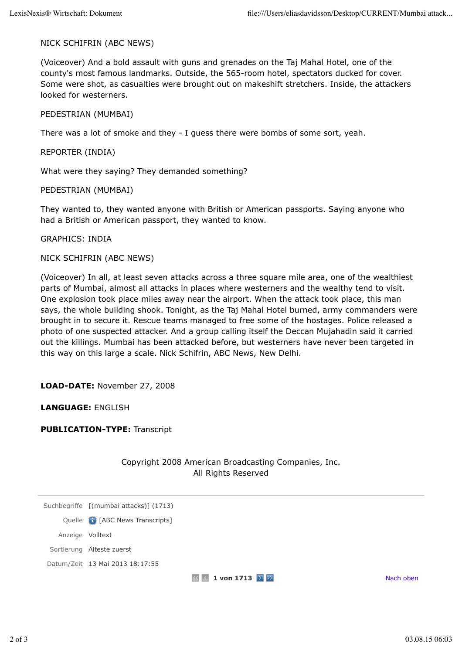## NICK SCHIFRIN (ABC NEWS)

(Voiceover) And a bold assault with guns and grenades on the Taj Mahal Hotel, one of the county's most famous landmarks. Outside, the 565-room hotel, spectators ducked for cover. Some were shot, as casualties were brought out on makeshift stretchers. Inside, the attackers looked for westerners.

## PEDESTRIAN (MUMBAI)

There was a lot of smoke and they - I guess there were bombs of some sort, yeah.

REPORTER (INDIA)

What were they saying? They demanded something?

PEDESTRIAN (MUMBAI)

They wanted to, they wanted anyone with British or American passports. Saying anyone who had a British or American passport, they wanted to know.

GRAPHICS: INDIA

NICK SCHIFRIN (ABC NEWS)

(Voiceover) In all, at least seven attacks across a three square mile area, one of the wealthiest parts of Mumbai, almost all attacks in places where westerners and the wealthy tend to visit. One explosion took place miles away near the airport. When the attack took place, this man says, the whole building shook. Tonight, as the Taj Mahal Hotel burned, army commanders were brought in to secure it. Rescue teams managed to free some of the hostages. Police released a photo of one suspected attacker. And a group calling itself the Deccan Mujahadin said it carried out the killings. Mumbai has been attacked before, but westerners have never been targeted in this way on this large a scale. Nick Schifrin, ABC News, New Delhi.

**LOAD-DATE:** November 27, 2008

**LANGUAGE:** ENGLISH

**PUBLICATION-TYPE:** Transcript

|                  |                                        | Copyright 2008 American Broadcasting Companies, Inc.<br>All Rights Reserved |           |
|------------------|----------------------------------------|-----------------------------------------------------------------------------|-----------|
|                  | Suchbegriffe [(mumbai attacks)] (1713) |                                                                             |           |
|                  | Quelle <b>G</b> [ABC News Transcripts] |                                                                             |           |
| Anzeige Volltext |                                        |                                                                             |           |
|                  | Sortierung Älteste zuerst              |                                                                             |           |
|                  | Datum/Zeit 13 Mai 2013 18:17:55        |                                                                             |           |
|                  |                                        | 1 von 1713 $\boxed{2}$<br>K.                                                | Nach oben |